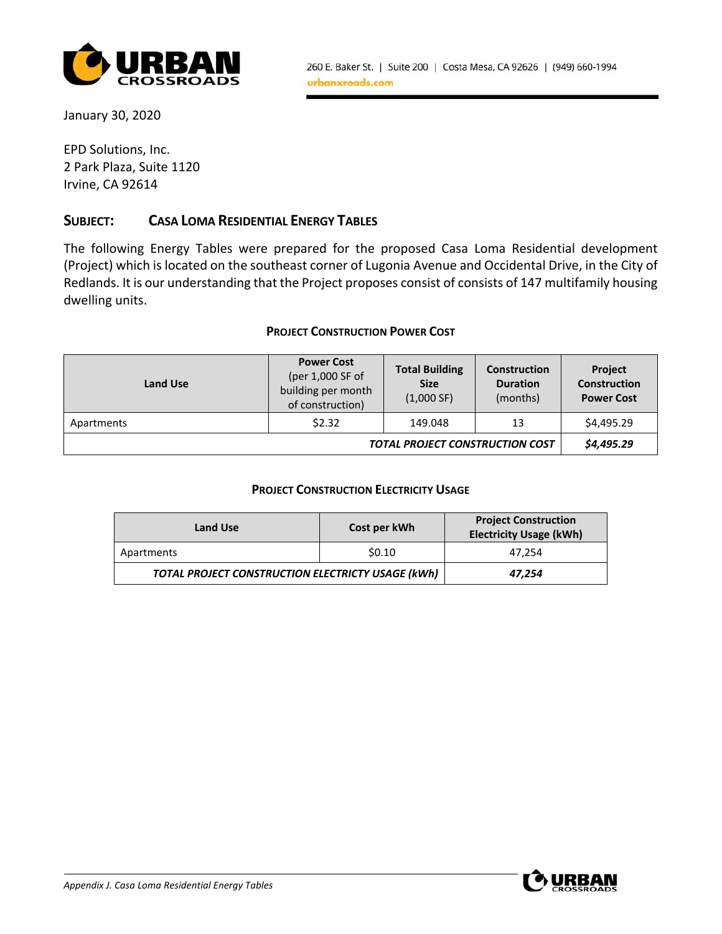

January 30, 2020

EPD Solutions, Inc. 2 Park Plaza, Suite 1120 Irvine, CA 92614

## **SUBJECT: CASA LOMA RESIDENTIAL ENERGY TABLES**

The following Energy Tables were prepared for the proposed Casa Loma Residential development (Project) which is located on the southeast corner of Lugonia Avenue and Occidental Drive, in the City of Redlands. It is our understanding that the Project proposes consist of consists of 147 multifamily housing dwelling units.

#### **PROJECT CONSTRUCTION POWER COST**

| <b>Land Use</b> | <b>Power Cost</b><br>(per 1,000 SF of<br>building per month<br>of construction) | <b>Total Building</b><br><b>Size</b><br>(1,000 SF) | <b>Construction</b><br><b>Duration</b><br>(months) | <b>Project</b><br><b>Construction</b><br><b>Power Cost</b> |
|-----------------|---------------------------------------------------------------------------------|----------------------------------------------------|----------------------------------------------------|------------------------------------------------------------|
| Apartments      | \$2.32                                                                          | 149.048                                            | 13                                                 | \$4,495.29                                                 |
|                 |                                                                                 | <b>TOTAL PROJECT CONSTRUCTION COST</b>             |                                                    | \$4,495.29                                                 |

### **PROJECT CONSTRUCTION ELECTRICITY USAGE**

| Land Use                                          | Cost per kWh | <b>Project Construction</b><br><b>Electricity Usage (kWh)</b> |  |  |
|---------------------------------------------------|--------------|---------------------------------------------------------------|--|--|
| Apartments                                        | \$0.10       | 47.254                                                        |  |  |
| TOTAL PROJECT CONSTRUCTION ELECTRICTY USAGE (kWh) | 47,254       |                                                               |  |  |

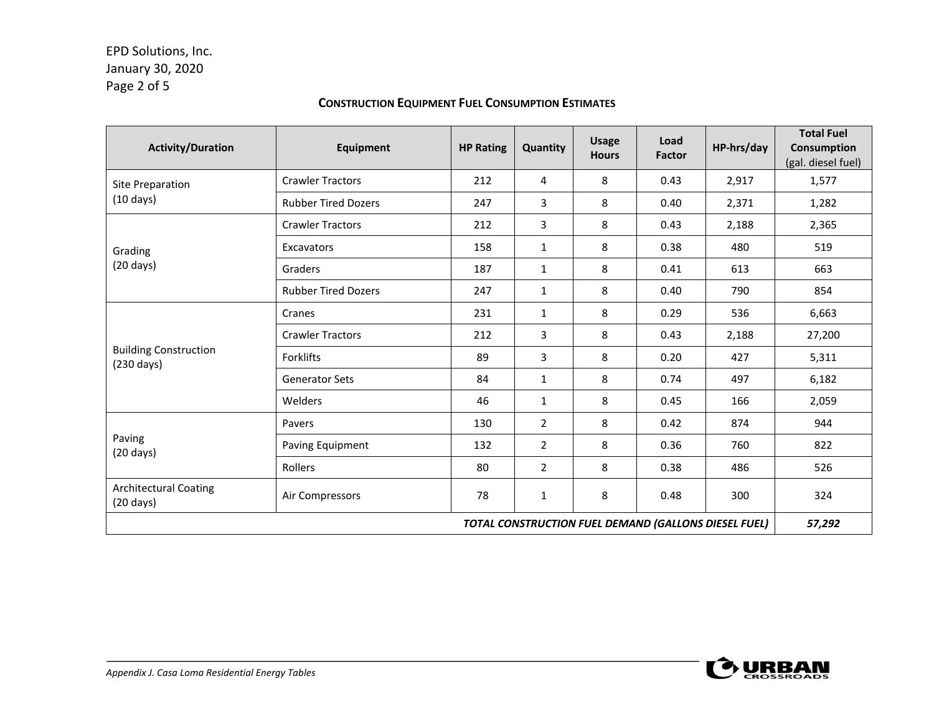# EPD Solutions, Inc. January 30, 2020 Page 2 of 5

### **CONSTRUCTION EQUIPMENT FUEL CONSUMPTION ESTIMATES**

| <b>Activity/Duration</b>                             | Equipment                  | <b>HP Rating</b> | Quantity     | <b>Usage</b><br><b>Hours</b> | Load<br><b>Factor</b> | HP-hrs/day | <b>Total Fuel</b><br>Consumption<br>(gal. diesel fuel) |
|------------------------------------------------------|----------------------------|------------------|--------------|------------------------------|-----------------------|------------|--------------------------------------------------------|
| <b>Site Preparation</b>                              | <b>Crawler Tractors</b>    | 212              | 4            | 8                            | 0.43                  | 2,917      | 1,577                                                  |
| $(10 \text{ days})$                                  | <b>Rubber Tired Dozers</b> | 247              | 3            | 8                            | 0.40                  | 2,371      | 1,282                                                  |
|                                                      | <b>Crawler Tractors</b>    | 212              | 3            | 8                            | 0.43                  | 2,188      | 2,365                                                  |
| Grading                                              | Excavators                 | 158              | $\mathbf{1}$ | 8                            | 0.38                  | 480        | 519                                                    |
| $(20 \text{ days})$                                  | Graders                    | 187              | $\mathbf{1}$ | 8                            | 0.41                  | 613        | 663                                                    |
|                                                      | <b>Rubber Tired Dozers</b> | 247              | 1            | 8                            | 0.40                  | 790        | 854                                                    |
|                                                      | Cranes                     | 231              | $\mathbf{1}$ | 8                            | 0.29                  | 536        | 6,663                                                  |
|                                                      | <b>Crawler Tractors</b>    | 212              | 3            | 8                            | 0.43                  | 2,188      | 27,200                                                 |
| <b>Building Construction</b><br>$(230 \text{ days})$ | Forklifts                  | 89               | 3            | 8                            | 0.20                  | 427        | 5,311                                                  |
|                                                      | <b>Generator Sets</b>      | 84               | 1            | 8                            | 0.74                  | 497        | 6,182                                                  |
|                                                      | Welders                    | 46               | $\mathbf{1}$ | 8                            | 0.45                  | 166        | 2,059                                                  |
| Paving<br>$(20 \text{ days})$                        | Pavers                     | 130              | 2            | 8                            | 0.42                  | 874        | 944                                                    |
|                                                      | Paving Equipment           | 132              | 2            | 8                            | 0.36                  | 760        | 822                                                    |
|                                                      | Rollers                    | 80               | 2            | 8                            | 0.38                  | 486        | 526                                                    |
| <b>Architectural Coating</b><br>$(20 \text{ days})$  | Air Compressors            | 78               | $\mathbf{1}$ | 8                            | 0.48                  | 300        | 324                                                    |
| TOTAL CONSTRUCTION FUEL DEMAND (GALLONS DIESEL FUEL) |                            |                  |              |                              |                       | 57,292     |                                                        |

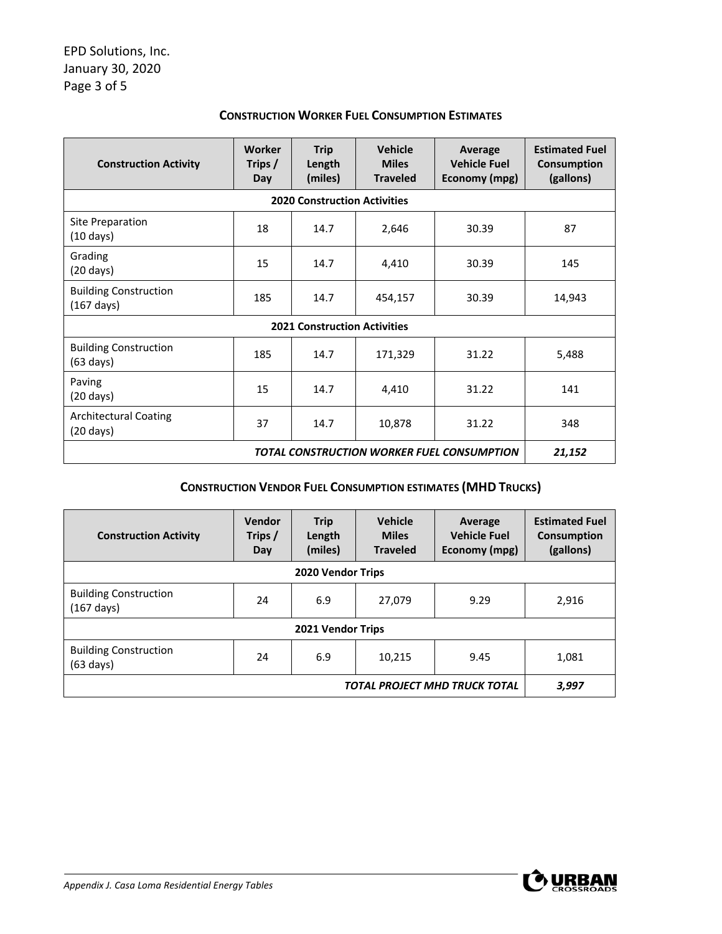| <b>Construction Activity</b>                         | Worker<br>Trips /<br>Day | <b>Trip</b><br>Length<br>(miles)    | <b>Vehicle</b><br><b>Miles</b><br><b>Traveled</b> | <b>Average</b><br><b>Vehicle Fuel</b><br>Economy (mpg) | <b>Estimated Fuel</b><br><b>Consumption</b><br>(gallons) |  |
|------------------------------------------------------|--------------------------|-------------------------------------|---------------------------------------------------|--------------------------------------------------------|----------------------------------------------------------|--|
|                                                      |                          | <b>2020 Construction Activities</b> |                                                   |                                                        |                                                          |  |
| Site Preparation<br>$(10 \text{ days})$              | 18                       | 14.7                                | 2,646                                             | 30.39                                                  | 87                                                       |  |
| Grading<br>$(20 \text{ days})$                       | 15                       | 14.7                                | 4,410                                             | 30.39                                                  | 145                                                      |  |
| <b>Building Construction</b><br>$(167 \text{ days})$ | 185                      | 14.7                                | 454,157                                           | 30.39                                                  | 14,943                                                   |  |
| <b>2021 Construction Activities</b>                  |                          |                                     |                                                   |                                                        |                                                          |  |
| <b>Building Construction</b><br>$(63 \text{ days})$  | 185                      | 14.7                                | 171,329                                           | 31.22                                                  | 5,488                                                    |  |
| Paving<br>$(20 \text{ days})$                        | 15                       | 14.7                                | 4,410                                             | 31.22                                                  | 141                                                      |  |
| <b>Architectural Coating</b><br>$(20 \text{ days})$  | 37                       | 14.7                                | 10,878                                            | 31.22                                                  | 348                                                      |  |
| TOTAL CONSTRUCTION WORKER FUEL CONSUMPTION           |                          |                                     |                                                   |                                                        | 21,152                                                   |  |

#### **CONSTRUCTION WORKER FUEL CONSUMPTION ESTIMATES**

## **CONSTRUCTION VENDOR FUEL CONSUMPTION ESTIMATES (MHD TRUCKS)**

| <b>Construction Activity</b>                         | Vendor<br>Trips /<br>Day | <b>Trip</b><br>Length<br>(miles) | <b>Vehicle</b><br><b>Miles</b><br><b>Traveled</b> | Average<br><b>Vehicle Fuel</b><br>Economy (mpg) | <b>Estimated Fuel</b><br><b>Consumption</b><br>(gallons) |  |
|------------------------------------------------------|--------------------------|----------------------------------|---------------------------------------------------|-------------------------------------------------|----------------------------------------------------------|--|
| 2020 Vendor Trips                                    |                          |                                  |                                                   |                                                 |                                                          |  |
| <b>Building Construction</b><br>$(167 \text{ days})$ | 24                       | 6.9                              | 27,079                                            | 9.29                                            | 2,916                                                    |  |
| 2021 Vendor Trips                                    |                          |                                  |                                                   |                                                 |                                                          |  |
| <b>Building Construction</b><br>$(63 \text{ days})$  | 24                       | 6.9                              | 10.215                                            | 9.45                                            | 1,081                                                    |  |
| TOTAL PROJECT MHD TRUCK TOTAL                        |                          |                                  |                                                   |                                                 | 3,997                                                    |  |

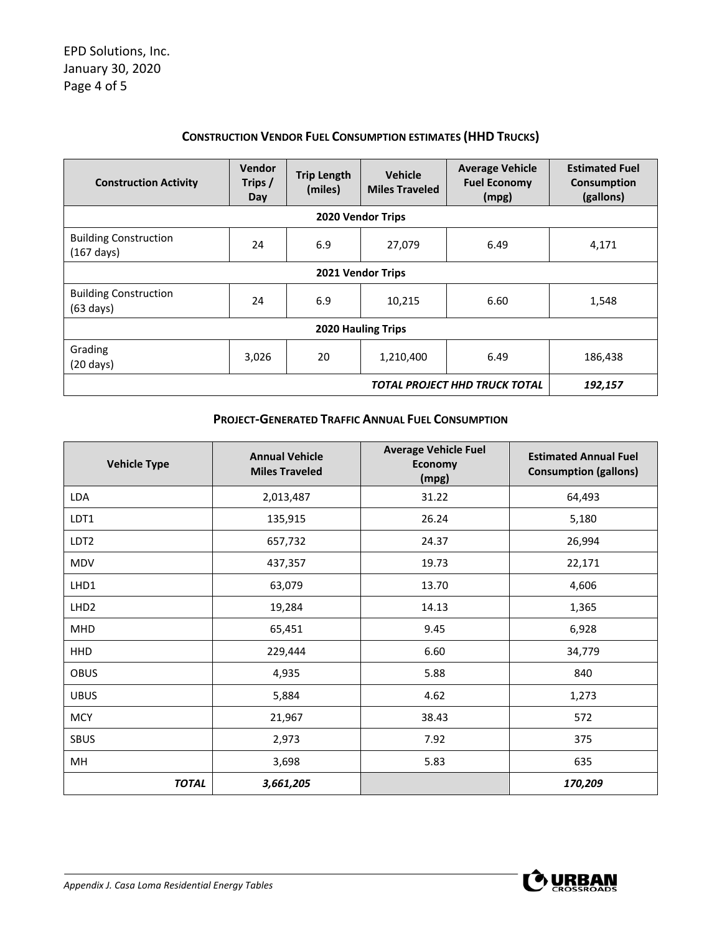### **CONSTRUCTION VENDOR FUEL CONSUMPTION ESTIMATES (HHD TRUCKS)**

| <b>Construction Activity</b>                         | Vendor<br>Trips /<br>Day | <b>Trip Length</b><br>(miles) | <b>Vehicle</b><br><b>Miles Traveled</b> | <b>Average Vehicle</b><br><b>Fuel Economy</b><br>(mpg) | <b>Estimated Fuel</b><br><b>Consumption</b><br>(gallons) |  |
|------------------------------------------------------|--------------------------|-------------------------------|-----------------------------------------|--------------------------------------------------------|----------------------------------------------------------|--|
| 2020 Vendor Trips                                    |                          |                               |                                         |                                                        |                                                          |  |
| <b>Building Construction</b><br>$(167 \text{ days})$ | 24                       | 6.9                           | 27,079                                  | 6.49                                                   | 4,171                                                    |  |
| 2021 Vendor Trips                                    |                          |                               |                                         |                                                        |                                                          |  |
| <b>Building Construction</b><br>$(63 \text{ days})$  | 24                       | 6.9                           | 10,215                                  | 6.60                                                   | 1,548                                                    |  |
| <b>2020 Hauling Trips</b>                            |                          |                               |                                         |                                                        |                                                          |  |
| Grading<br>$(20 \text{ days})$                       | 3,026                    | 20                            | 1,210,400                               | 6.49                                                   | 186,438                                                  |  |
| TOTAL PROJECT HHD TRUCK TOTAL                        |                          |                               |                                         |                                                        | 192,157                                                  |  |

#### **PROJECT‐GENERATED TRAFFIC ANNUAL FUEL CONSUMPTION**

| <b>Vehicle Type</b> | <b>Annual Vehicle</b><br><b>Miles Traveled</b> | <b>Average Vehicle Fuel</b><br>Economy<br>(mpg) | <b>Estimated Annual Fuel</b><br><b>Consumption (gallons)</b> |
|---------------------|------------------------------------------------|-------------------------------------------------|--------------------------------------------------------------|
| LDA                 | 2,013,487                                      | 31.22                                           | 64,493                                                       |
| LDT1                | 135,915                                        | 26.24                                           | 5,180                                                        |
| LDT <sub>2</sub>    | 657,732                                        | 24.37                                           | 26,994                                                       |
| <b>MDV</b>          | 437,357                                        | 19.73                                           | 22,171                                                       |
| LHD1                | 63,079                                         | 13.70                                           | 4,606                                                        |
| LHD <sub>2</sub>    | 19,284                                         | 14.13                                           | 1,365                                                        |
| <b>MHD</b>          | 65,451                                         | 9.45                                            | 6,928                                                        |
| HHD                 | 229,444                                        | 6.60                                            | 34,779                                                       |
| <b>OBUS</b>         | 4,935                                          | 5.88                                            | 840                                                          |
| <b>UBUS</b>         | 5,884                                          | 4.62                                            | 1,273                                                        |
| <b>MCY</b>          | 21,967                                         | 38.43                                           | 572                                                          |
| <b>SBUS</b>         | 2,973                                          | 7.92                                            | 375                                                          |
| MН                  | 3,698                                          | 5.83                                            | 635                                                          |
| <b>TOTAL</b>        | 3,661,205                                      |                                                 | 170,209                                                      |